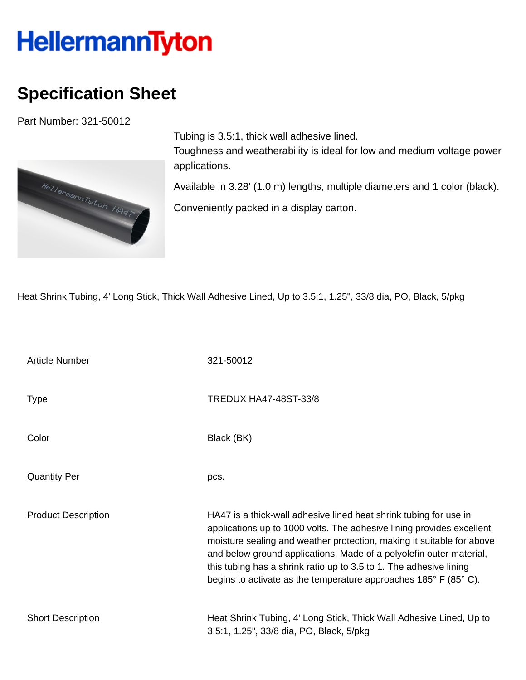## **HellermannTyton**

## **Specification Sheet**

Part Number: 321-50012



Tubing is 3.5:1, thick wall adhesive lined. Toughness and weatherability is ideal for low and medium voltage power applications.

Available in 3.28' (1.0 m) lengths, multiple diameters and 1 color (black).

Conveniently packed in a display carton.

Heat Shrink Tubing, 4' Long Stick, Thick Wall Adhesive Lined, Up to 3.5:1, 1.25", 33/8 dia, PO, Black, 5/pkg

| <b>Article Number</b>      | 321-50012                                                                                                                                                                                                                                                                                                                                                                                                                            |
|----------------------------|--------------------------------------------------------------------------------------------------------------------------------------------------------------------------------------------------------------------------------------------------------------------------------------------------------------------------------------------------------------------------------------------------------------------------------------|
| <b>Type</b>                | <b>TREDUX HA47-48ST-33/8</b>                                                                                                                                                                                                                                                                                                                                                                                                         |
| Color                      | Black (BK)                                                                                                                                                                                                                                                                                                                                                                                                                           |
| <b>Quantity Per</b>        | pcs.                                                                                                                                                                                                                                                                                                                                                                                                                                 |
| <b>Product Description</b> | HA47 is a thick-wall adhesive lined heat shrink tubing for use in<br>applications up to 1000 volts. The adhesive lining provides excellent<br>moisture sealing and weather protection, making it suitable for above<br>and below ground applications. Made of a polyolefin outer material,<br>this tubing has a shrink ratio up to 3.5 to 1. The adhesive lining<br>begins to activate as the temperature approaches 185° F (85° C). |
| <b>Short Description</b>   | Heat Shrink Tubing, 4' Long Stick, Thick Wall Adhesive Lined, Up to<br>3.5:1, 1.25", 33/8 dia, PO, Black, 5/pkg                                                                                                                                                                                                                                                                                                                      |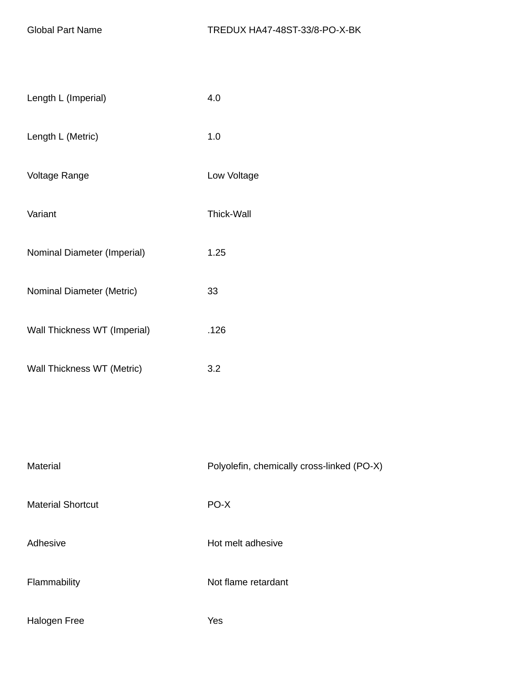| Length L (Imperial)          | 4.0                                        |
|------------------------------|--------------------------------------------|
| Length L (Metric)            | 1.0                                        |
| Voltage Range                | Low Voltage                                |
| Variant                      | <b>Thick-Wall</b>                          |
| Nominal Diameter (Imperial)  | 1.25                                       |
| Nominal Diameter (Metric)    | 33                                         |
| Wall Thickness WT (Imperial) | .126                                       |
| Wall Thickness WT (Metric)   | 3.2                                        |
|                              |                                            |
|                              |                                            |
| Material                     | Polyolefin, chemically cross-linked (PO-X) |

| ivialerial               | Purpolently critering dividend the CPU-A |
|--------------------------|------------------------------------------|
| <b>Material Shortcut</b> | PO-X                                     |
| Adhesive                 | Hot melt adhesive                        |
| Flammability             | Not flame retardant                      |
| Halogen Free             | Yes                                      |